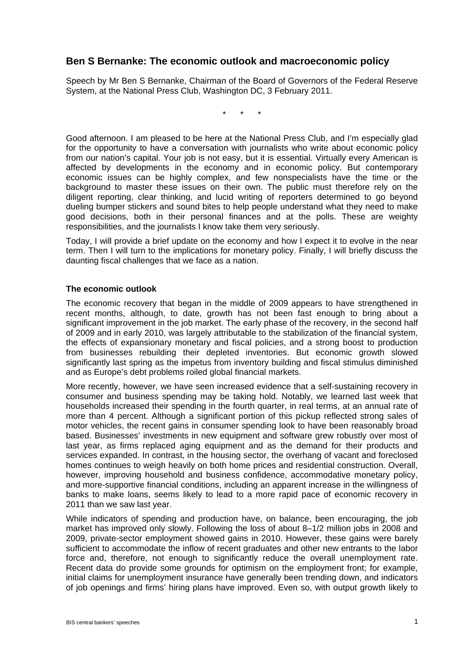## **Ben S Bernanke: The economic outlook and macroeconomic policy**

Speech by Mr Ben S Bernanke, Chairman of the Board of Governors of the Federal Reserve System, at the National Press Club, Washington DC, 3 February 2011.

\* \* \*

Good afternoon. I am pleased to be here at the National Press Club, and I'm especially glad for the opportunity to have a conversation with journalists who write about economic policy from our nation's capital. Your job is not easy, but it is essential. Virtually every American is affected by developments in the economy and in economic policy. But contemporary economic issues can be highly complex, and few nonspecialists have the time or the background to master these issues on their own. The public must therefore rely on the diligent reporting, clear thinking, and lucid writing of reporters determined to go beyond dueling bumper stickers and sound bites to help people understand what they need to make good decisions, both in their personal finances and at the polls. These are weighty responsibilities, and the journalists I know take them very seriously.

Today, I will provide a brief update on the economy and how I expect it to evolve in the near term. Then I will turn to the implications for monetary policy. Finally, I will briefly discuss the daunting fiscal challenges that we face as a nation.

## **The economic outlook**

The economic recovery that began in the middle of 2009 appears to have strengthened in recent months, although, to date, growth has not been fast enough to bring about a significant improvement in the job market. The early phase of the recovery, in the second half of 2009 and in early 2010, was largely attributable to the stabilization of the financial system, the effects of expansionary monetary and fiscal policies, and a strong boost to production from businesses rebuilding their depleted inventories. But economic growth slowed significantly last spring as the impetus from inventory building and fiscal stimulus diminished and as Europe's debt problems roiled global financial markets.

More recently, however, we have seen increased evidence that a self-sustaining recovery in consumer and business spending may be taking hold. Notably, we learned last week that households increased their spending in the fourth quarter, in real terms, at an annual rate of more than 4 percent. Although a significant portion of this pickup reflected strong sales of motor vehicles, the recent gains in consumer spending look to have been reasonably broad based. Businesses' investments in new equipment and software grew robustly over most of last year, as firms replaced aging equipment and as the demand for their products and services expanded. In contrast, in the housing sector, the overhang of vacant and foreclosed homes continues to weigh heavily on both home prices and residential construction. Overall, however, improving household and business confidence, accommodative monetary policy, and more-supportive financial conditions, including an apparent increase in the willingness of banks to make loans, seems likely to lead to a more rapid pace of economic recovery in 2011 than we saw last year.

While indicators of spending and production have, on balance, been encouraging, the job market has improved only slowly. Following the loss of about 8–1/2 million jobs in 2008 and 2009, private-sector employment showed gains in 2010. However, these gains were barely sufficient to accommodate the inflow of recent graduates and other new entrants to the labor force and, therefore, not enough to significantly reduce the overall unemployment rate. Recent data do provide some grounds for optimism on the employment front; for example, initial claims for unemployment insurance have generally been trending down, and indicators of job openings and firms' hiring plans have improved. Even so, with output growth likely to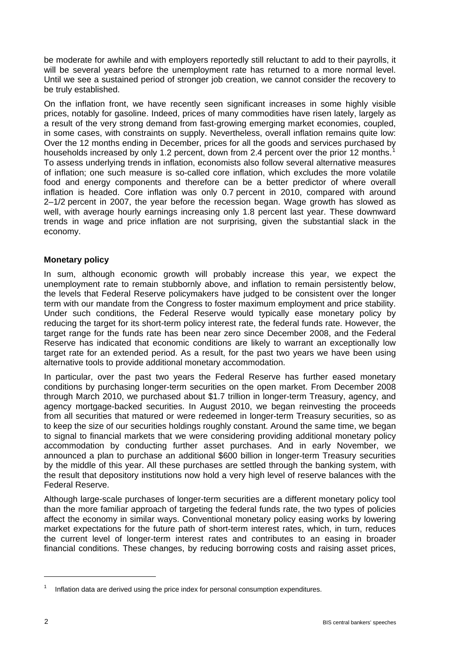be moderate for awhile and with employers reportedly still reluctant to add to their payrolls, it will be several years before the unemployment rate has returned to a more normal level. Until we see a sustained period of stronger job creation, we cannot consider the recovery to be truly established.

On the inflation front, we have recently seen significant increases in some highly visible prices, notably for gasoline. Indeed, prices of many commodities have risen lately, largely as a result of the very strong demand from fast-growing emerging market economies, coupled, in some cases, with constraints on supply. Nevertheless, overall inflation remains quite low: Over the 12 months ending in December, prices for all the goods and services purchased by households increased by only [1](#page-1-0).2 percent, down from 2.4 percent over the prior 12 months.<sup>1</sup> To assess underlying trends in inflation, economists also follow several alternative measures of inflation; one such measure is so-called core inflation, which excludes the more volatile food and energy components and therefore can be a better predictor of where overall inflation is headed. Core inflation was only 0.7 percent in 2010, compared with around  $2-1/2$  percent in 2007, the year before the recession began. Wage growth has slowed as well, with average hourly earnings increasing only 1.8 percent last year. These downward trends in wage and price inflation are not surprising, given the substantial slack in the economy.

## **Monetary policy**

In sum, although economic growth will probably increase this year, we expect the unemployment rate to remain stubbornly above, and inflation to remain persistently below, the levels that Federal Reserve policymakers have judged to be consistent over the longer term with our mandate from the Congress to foster maximum employment and price stability. Under such conditions, the Federal Reserve would typically ease monetary policy by reducing the target for its short-term policy interest rate, the federal funds rate. However, the target range for the funds rate has been near zero since December 2008, and the Federal Reserve has indicated that economic conditions are likely to warrant an exceptionally low target rate for an extended period. As a result, for the past two years we have been using alternative tools to provide additional monetary accommodation.

In particular, over the past two years the Federal Reserve has further eased monetary conditions by purchasing longer-term securities on the open market. From December 2008 through March 2010, we purchased about \$1.7 trillion in longer-term Treasury, agency, and agency mortgage-backed securities. In August 2010, we began reinvesting the proceeds from all securities that matured or were redeemed in longer-term Treasury securities, so as to keep the size of our securities holdings roughly constant. Around the same time, we began to signal to financial markets that we were considering providing additional monetary policy accommodation by conducting further asset purchases. And in early November, we announced a plan to purchase an additional \$600 billion in longer-term Treasury securities by the middle of this year. All these purchases are settled through the banking system, with the result that depository institutions now hold a very high level of reserve balances with the Federal Reserve.

Although large-scale purchases of longer-term securities are a different monetary policy tool than the more familiar approach of targeting the federal funds rate, the two types of policies affect the economy in similar ways. Conventional monetary policy easing works by lowering market expectations for the future path of short-term interest rates, which, in turn, reduces the current level of longer-term interest rates and contributes to an easing in broader financial conditions. These changes, by reducing borrowing costs and raising asset prices,

 $\overline{a}$ 

<span id="page-1-0"></span><sup>1</sup> Inflation data are derived using the price index for personal consumption expenditures.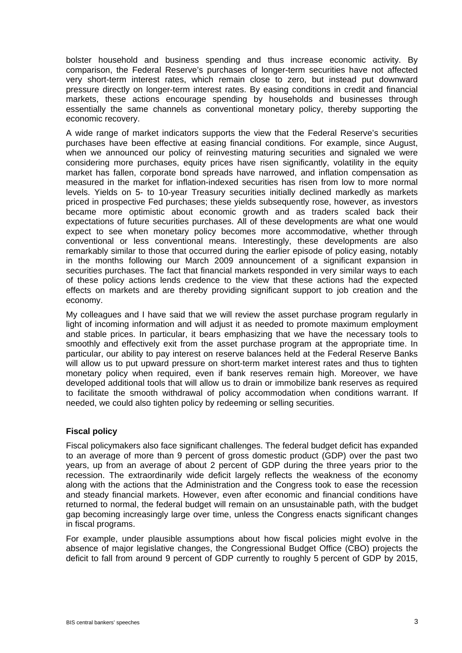bolster household and business spending and thus increase economic activity. By comparison, the Federal Reserve's purchases of longer-term securities have not affected very short-term interest rates, which remain close to zero, but instead put downward pressure directly on longer-term interest rates. By easing conditions in credit and financial markets, these actions encourage spending by households and businesses through essentially the same channels as conventional monetary policy, thereby supporting the economic recovery.

A wide range of market indicators supports the view that the Federal Reserve's securities purchases have been effective at easing financial conditions. For example, since August, when we announced our policy of reinvesting maturing securities and signaled we were considering more purchases, equity prices have risen significantly, volatility in the equity market has fallen, corporate bond spreads have narrowed, and inflation compensation as measured in the market for inflation-indexed securities has risen from low to more normal levels. Yields on 5- to 10-year Treasury securities initially declined markedly as markets priced in prospective Fed purchases; these yields subsequently rose, however, as investors became more optimistic about economic growth and as traders scaled back their expectations of future securities purchases. All of these developments are what one would expect to see when monetary policy becomes more accommodative, whether through conventional or less conventional means. Interestingly, these developments are also remarkably similar to those that occurred during the earlier episode of policy easing, notably in the months following our March 2009 announcement of a significant expansion in securities purchases. The fact that financial markets responded in very similar ways to each of these policy actions lends credence to the view that these actions had the expected effects on markets and are thereby providing significant support to job creation and the economy.

My colleagues and I have said that we will review the asset purchase program regularly in light of incoming information and will adjust it as needed to promote maximum employment and stable prices. In particular, it bears emphasizing that we have the necessary tools to smoothly and effectively exit from the asset purchase program at the appropriate time. In particular, our ability to pay interest on reserve balances held at the Federal Reserve Banks will allow us to put upward pressure on short-term market interest rates and thus to tighten monetary policy when required, even if bank reserves remain high. Moreover, we have developed additional tools that will allow us to drain or immobilize bank reserves as required to facilitate the smooth withdrawal of policy accommodation when conditions warrant. If needed, we could also tighten policy by redeeming or selling securities.

## **Fiscal policy**

Fiscal policymakers also face significant challenges. The federal budget deficit has expanded to an average of more than 9 percent of gross domestic product (GDP) over the past two years, up from an average of about 2 percent of GDP during the three years prior to the recession. The extraordinarily wide deficit largely reflects the weakness of the economy along with the actions that the Administration and the Congress took to ease the recession and steady financial markets. However, even after economic and financial conditions have returned to normal, the federal budget will remain on an unsustainable path, with the budget gap becoming increasingly large over time, unless the Congress enacts significant changes in fiscal programs.

For example, under plausible assumptions about how fiscal policies might evolve in the absence of major legislative changes, the Congressional Budget Office (CBO) projects the deficit to fall from around 9 percent of GDP currently to roughly 5 percent of GDP by 2015,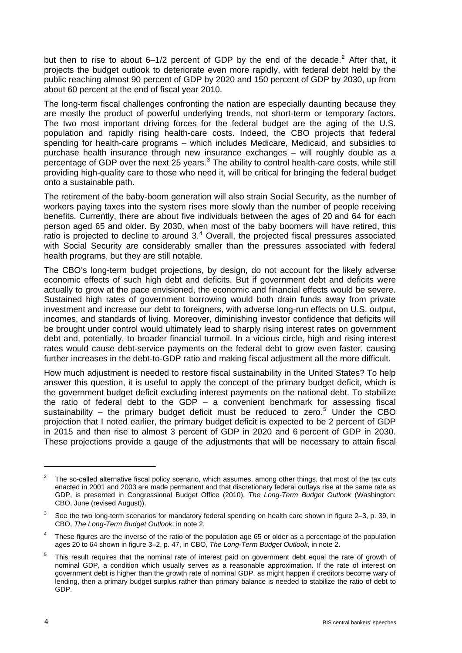but then to rise to about 6–1/[2](#page-3-0) percent of GDP by the end of the decade.<sup>2</sup> After that, it projects the budget outlook to deteriorate even more rapidly, with federal debt held by the public reaching almost 90 percent of GDP by 2020 and 150 percent of GDP by 2030, up from about 60 percent at the end of fiscal year 2010.

The long-term fiscal challenges confronting the nation are especially daunting because they are mostly the product of powerful underlying trends, not short-term or temporary factors. The two most important driving forces for the federal budget are the aging of the U.S. population and rapidly rising health-care costs. Indeed, the CBO projects that federal spending for health-care programs – which includes Medicare, Medicaid, and subsidies to purchase health insurance through new insurance exchanges – will roughly double as a percentage of GDP over the next 25 years.<sup>[3](#page-3-1)</sup> The ability to control health-care costs, while still providing high-quality care to those who need it, will be critical for bringing the federal budget onto a sustainable path.

The retirement of the baby-boom generation will also strain Social Security, as the number of workers paying taxes into the system rises more slowly than the number of people receiving benefits. Currently, there are about five individuals between the ages of 20 and 64 for each person aged 65 and older. By 2030, when most of the baby boomers will have retired, this ratio is projected to decline to around  $3<sup>4</sup>$  $3<sup>4</sup>$  $3<sup>4</sup>$  Overall, the projected fiscal pressures associated with Social Security are considerably smaller than the pressures associated with federal health programs, but they are still notable.

The CBO's long-term budget projections, by design, do not account for the likely adverse economic effects of such high debt and deficits. But if government debt and deficits were actually to grow at the pace envisioned, the economic and financial effects would be severe. Sustained high rates of government borrowing would both drain funds away from private investment and increase our debt to foreigners, with adverse long-run effects on U.S. output, incomes, and standards of living. Moreover, diminishing investor confidence that deficits will be brought under control would ultimately lead to sharply rising interest rates on government debt and, potentially, to broader financial turmoil. In a vicious circle, high and rising interest rates would cause debt-service payments on the federal debt to grow even faster, causing further increases in the debt-to-GDP ratio and making fiscal adjustment all the more difficult.

How much adjustment is needed to restore fiscal sustainability in the United States? To help answer this question, it is useful to apply the concept of the primary budget deficit, which is the government budget deficit excluding interest payments on the national debt. To stabilize the ratio of federal debt to the GDP  $-$  a convenient benchmark for assessing fiscal sustainability  $-$  the primary budget deficit must be reduced to zero.<sup>[5](#page-3-3)</sup> Under the CBO projection that I noted earlier, the primary budget deficit is expected to be 2 percent of GDP in 2015 and then rise to almost 3 percent of GDP in 2020 and 6 percent of GDP in 2030. These projections provide a gauge of the adjustments that will be necessary to attain fiscal

<span id="page-3-0"></span><sup>2</sup> The so-called alternative fiscal policy scenario, which assumes, among other things, that most of the tax cuts enacted in 2001 and 2003 are made permanent and that discretionary federal outlays rise at the same rate as GDP, is presented in Congressional Budget Office (2010), *The Long-Term Budget Outlook* (Washington: CBO, June (revised August)).

<span id="page-3-1"></span><sup>3</sup> See the two long-term scenarios for mandatory federal spending on health care shown in figure 2–3, p. 39, in CBO, *The Long-Term Budget Outlook*, in note 2.

<span id="page-3-2"></span><sup>4</sup> These figures are the inverse of the ratio of the population age 65 or older as a percentage of the population ages 20 to 64 shown in figure 3–2, p. 47, in CBO, *The Long-Term Budget Outlook*, in note 2.

<span id="page-3-3"></span><sup>5</sup> This result requires that the nominal rate of interest paid on government debt equal the rate of growth of nominal GDP, a condition which usually serves as a reasonable approximation. If the rate of interest on government debt is higher than the growth rate of nominal GDP, as might happen if creditors become wary of lending, then a primary budget surplus rather than primary balance is needed to stabilize the ratio of debt to GDP.